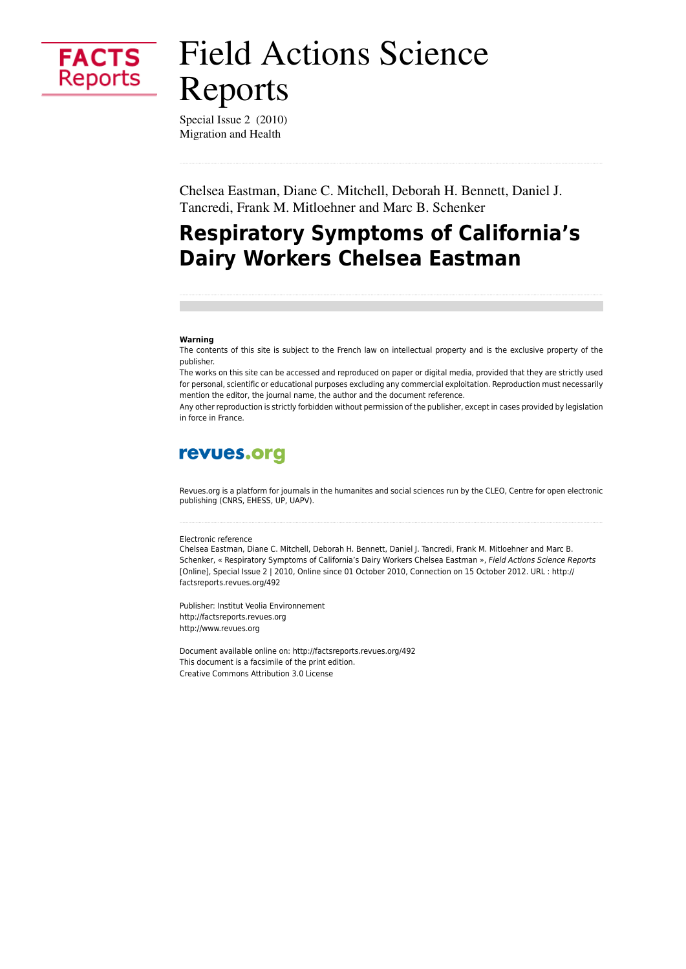

# **Field Actions Science** Reports

Special Issue 2 (2010) Migration and Health

Chelsea Eastman, Diane C. Mitchell, Deborah H. Bennett, Daniel J. Tancredi, Frank M. Mitloehner and Marc B. Schenker

## **Respiratory Symptoms of California's Dairy Workers Chelsea Eastman**

#### Warning

The contents of this site is subject to the French law on intellectual property and is the exclusive property of the publisher.

The works on this site can be accessed and reproduced on paper or digital media, provided that they are strictly used for personal, scientific or educational purposes excluding any commercial exploitation. Reproduction must necessarily mention the editor, the journal name, the author and the document reference.

Any other reproduction is strictly forbidden without permission of the publisher, except in cases provided by legislation in force in France

## revues.org

Revues.org is a platform for journals in the humanites and social sciences run by the CLEO, Centre for open electronic publishing (CNRS, EHESS, UP, UAPV).

#### Electronic reference

Chelsea Eastman, Diane C. Mitchell, Deborah H. Bennett, Daniel J. Tancredi, Frank M. Mitloehner and Marc B. Schenker, « Respiratory Symptoms of California's Dairy Workers Chelsea Eastman », Field Actions Science Reports [Online], Special Issue 2 | 2010, Online since 01 October 2010, Connection on 15 October 2012. URL : http:// factsreports.revues.org/492

Publisher: Institut Veolia Environnement http://factsreports.revues.org http://www.revues.org

Document available online on: http://factsreports.revues.org/492 This document is a facsimile of the print edition. Creative Commons Attribution 3.0 License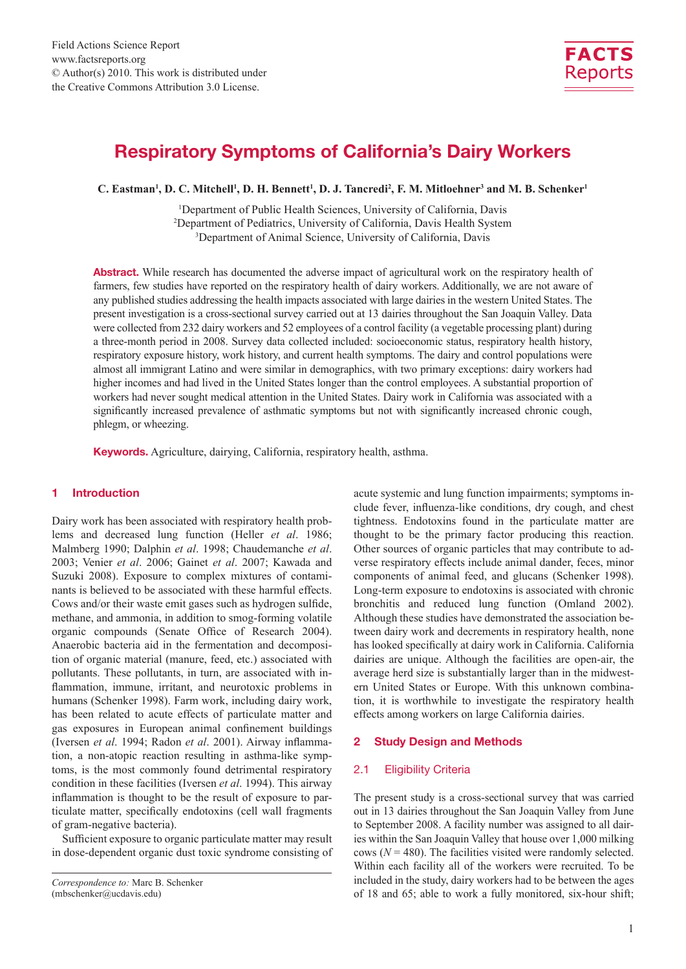

## Respiratory Symptoms of California's Dairy Workers

**C. Eastman<sup>1</sup>, D. C. Mitchell<sup>1</sup>, D. H. Bennett<sup>1</sup>, D. J. Tancredi<sup>2</sup>, F. M. Mitloehner<sup>3</sup> and M. B. Schenker<sup>1</sup>** 

<sup>1</sup>Department of Public Health Sciences, University of California, Davis 2 Department of Pediatrics, University of California, Davis Health System 3 Department of Animal Science, University of California, Davis

Abstract. While research has documented the adverse impact of agricultural work on the respiratory health of farmers, few studies have reported on the respiratory health of dairy workers. Additionally, we are not aware of any published studies addressing the health impacts associated with large dairies in the western United States. The present investigation is a cross-sectional survey carried out at 13 dairies throughout the San Joaquin Valley. Data were collected from 232 dairy workers and 52 employees of a control facility (a vegetable processing plant) during a three-month period in 2008. Survey data collected included: socioeconomic status, respiratory health history, respiratory exposure history, work history, and current health symptoms. The dairy and control populations were almost all immigrant Latino and were similar in demographics, with two primary exceptions: dairy workers had higher incomes and had lived in the United States longer than the control employees. A substantial proportion of workers had never sought medical attention in the United States. Dairy work in California was associated with a significantly increased prevalence of asthmatic symptoms but not with significantly increased chronic cough, phlegm, or wheezing.

Keywords. Agriculture, dairying, California, respiratory health, asthma.

## 1 Introduction

Dairy work has been associated with respiratory health problems and decreased lung function (Heller *et al*. 1986; Malmberg 1990; Dalphin *et al*. 1998; Chaudemanche *et al*. 2003; Venier *et al*. 2006; Gainet *et al*. 2007; Kawada and Suzuki 2008). Exposure to complex mixtures of contaminants is believed to be associated with these harmful effects. Cows and/or their waste emit gases such as hydrogen sulfide, methane, and ammonia, in addition to smog-forming volatile organic compounds (Senate Office of Research 2004). Anaerobic bacteria aid in the fermentation and decomposition of organic material (manure, feed, etc.) associated with pollutants. These pollutants, in turn, are associated with inflammation, immune, irritant, and neurotoxic problems in humans (Schenker 1998). Farm work, including dairy work, has been related to acute effects of particulate matter and gas exposures in European animal confinement buildings (Iversen *et al*. 1994; Radon *et al*. 2001). Airway inflammation, a non-atopic reaction resulting in asthma-like symptoms, is the most commonly found detrimental respiratory condition in these facilities (Iversen *et al*. 1994). This airway inflammation is thought to be the result of exposure to particulate matter, specifically endotoxins (cell wall fragments of gram-negative bacteria).

Sufficient exposure to organic particulate matter may result in dose-dependent organic dust toxic syndrome consisting of acute systemic and lung function impairments; symptoms include fever, influenza-like conditions, dry cough, and chest tightness. Endotoxins found in the particulate matter are thought to be the primary factor producing this reaction. Other sources of organic particles that may contribute to adverse respiratory effects include animal dander, feces, minor components of animal feed, and glucans (Schenker 1998). Long-term exposure to endotoxins is associated with chronic bronchitis and reduced lung function (Omland 2002). Although these studies have demonstrated the association between dairy work and decrements in respiratory health, none has looked specifically at dairy work in California. California dairies are unique. Although the facilities are open-air, the average herd size is substantially larger than in the midwestern United States or Europe. With this unknown combination, it is worthwhile to investigate the respiratory health effects among workers on large California dairies.

## 2 Study Design and Methods

## 2.1 Eligibility Criteria

The present study is a cross-sectional survey that was carried out in 13 dairies throughout the San Joaquin Valley from June to September 2008. A facility number was assigned to all dairies within the San Joaquin Valley that house over 1,000 milking cows (*N* = 480). The facilities visited were randomly selected. Within each facility all of the workers were recruited. To be included in the study, dairy workers had to be between the ages of 18 and 65; able to work a fully monitored, six-hour shift;

*Correspondence to:* Marc B. Schenker (mbschenker@ucdavis.edu)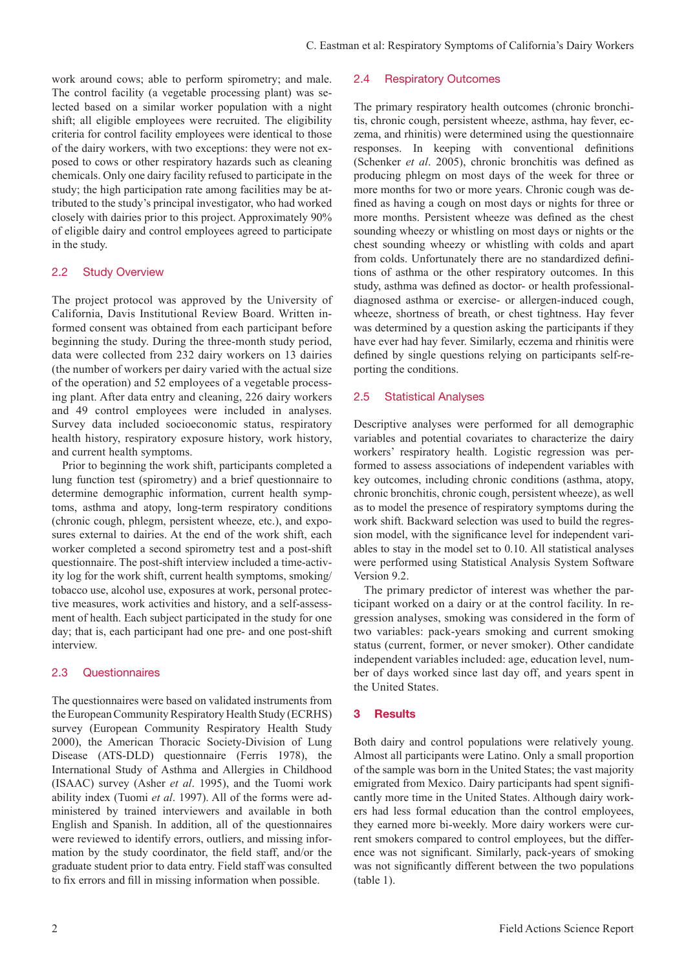work around cows; able to perform spirometry; and male. The control facility (a vegetable processing plant) was selected based on a similar worker population with a night shift; all eligible employees were recruited. The eligibility criteria for control facility employees were identical to those of the dairy workers, with two exceptions: they were not exposed to cows or other respiratory hazards such as cleaning chemicals. Only one dairy facility refused to participate in the study; the high participation rate among facilities may be attributed to the study's principal investigator, who had worked closely with dairies prior to this project. Approximately 90% of eligible dairy and control employees agreed to participate in the study.

## 2.2 Study Overview

The project protocol was approved by the University of California, Davis Institutional Review Board. Written informed consent was obtained from each participant before beginning the study. During the three-month study period, data were collected from 232 dairy workers on 13 dairies (the number of workers per dairy varied with the actual size of the operation) and 52 employees of a vegetable processing plant. After data entry and cleaning, 226 dairy workers and 49 control employees were included in analyses. Survey data included socioeconomic status, respiratory health history, respiratory exposure history, work history, and current health symptoms.

Prior to beginning the work shift, participants completed a lung function test (spirometry) and a brief questionnaire to determine demographic information, current health symptoms, asthma and atopy, long-term respiratory conditions (chronic cough, phlegm, persistent wheeze, etc.), and exposures external to dairies. At the end of the work shift, each worker completed a second spirometry test and a post-shift questionnaire. The post-shift interview included a time-activity log for the work shift, current health symptoms, smoking/ tobacco use, alcohol use, exposures at work, personal protective measures, work activities and history, and a self-assessment of health. Each subject participated in the study for one day; that is, each participant had one pre- and one post-shift interview.

## 2.3 Questionnaires

The questionnaires were based on validated instruments from the European Community Respiratory Health Study (ECRHS) survey (European Community Respiratory Health Study 2000), the American Thoracic Society-Division of Lung Disease (ATS-DLD) questionnaire (Ferris 1978), the International Study of Asthma and Allergies in Childhood (ISAAC) survey (Asher *et al*. 1995), and the Tuomi work ability index (Tuomi *et al*. 1997). All of the forms were administered by trained interviewers and available in both English and Spanish. In addition, all of the questionnaires were reviewed to identify errors, outliers, and missing information by the study coordinator, the field staff, and/or the graduate student prior to data entry. Field staff was consulted to fix errors and fill in missing information when possible.

## 2.4 Respiratory Outcomes

The primary respiratory health outcomes (chronic bronchitis, chronic cough, persistent wheeze, asthma, hay fever, eczema, and rhinitis) were determined using the questionnaire responses. In keeping with conventional definitions (Schenker *et al*. 2005), chronic bronchitis was defined as producing phlegm on most days of the week for three or more months for two or more years. Chronic cough was defined as having a cough on most days or nights for three or more months. Persistent wheeze was defined as the chest sounding wheezy or whistling on most days or nights or the chest sounding wheezy or whistling with colds and apart from colds. Unfortunately there are no standardized definitions of asthma or the other respiratory outcomes. In this study, asthma was defined as doctor- or health professionaldiagnosed asthma or exercise- or allergen-induced cough, wheeze, shortness of breath, or chest tightness. Hay fever was determined by a question asking the participants if they have ever had hay fever. Similarly, eczema and rhinitis were defined by single questions relying on participants self-reporting the conditions.

## 2.5 Statistical Analyses

Descriptive analyses were performed for all demographic variables and potential covariates to characterize the dairy workers' respiratory health. Logistic regression was performed to assess associations of independent variables with key outcomes, including chronic conditions (asthma, atopy, chronic bronchitis, chronic cough, persistent wheeze), as well as to model the presence of respiratory symptoms during the work shift. Backward selection was used to build the regression model, with the significance level for independent variables to stay in the model set to 0.10. All statistical analyses were performed using Statistical Analysis System Software Version 9.2.

The primary predictor of interest was whether the participant worked on a dairy or at the control facility. In regression analyses, smoking was considered in the form of two variables: pack-years smoking and current smoking status (current, former, or never smoker). Other candidate independent variables included: age, education level, number of days worked since last day off, and years spent in the United States.

## 3 Results

Both dairy and control populations were relatively young. Almost all participants were Latino. Only a small proportion of the sample was born in the United States; the vast majority emigrated from Mexico. Dairy participants had spent significantly more time in the United States. Although dairy workers had less formal education than the control employees, they earned more bi-weekly. More dairy workers were current smokers compared to control employees, but the difference was not significant. Similarly, pack-years of smoking was not significantly different between the two populations (table 1).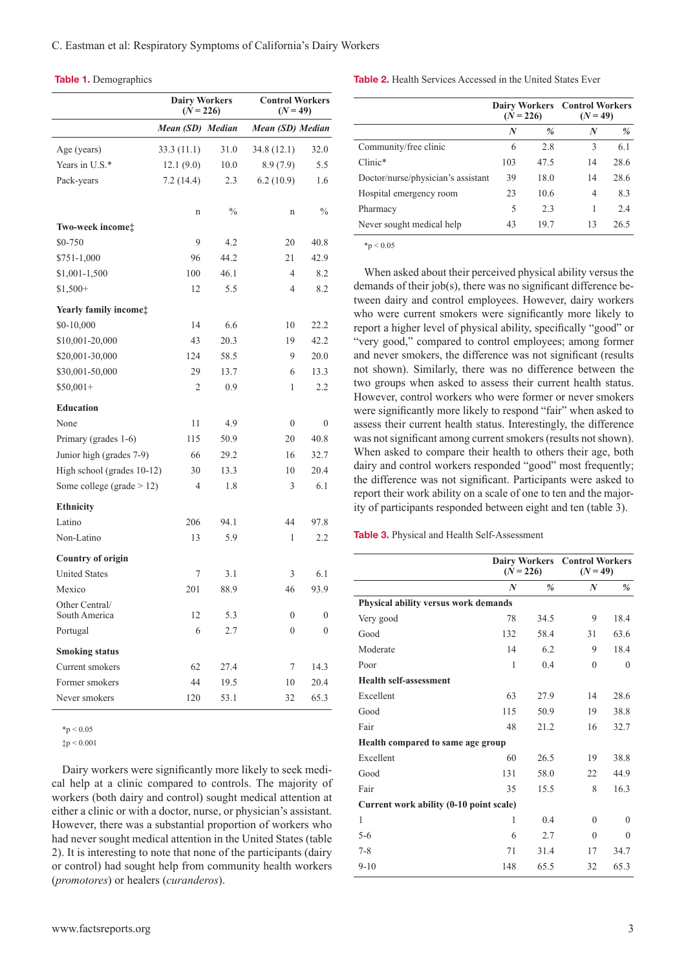#### Table 1. Demographics

|                                 | <b>Dairy Workers</b><br>$(N = 226)$ |      |                  | <b>Control Workers</b><br>$(N = 49)$ |  |  |
|---------------------------------|-------------------------------------|------|------------------|--------------------------------------|--|--|
|                                 | Mean (SD) Median                    |      | Mean (SD) Median |                                      |  |  |
| Age (years)                     | 33.3 (11.1)                         | 31.0 | 34.8 (12.1)      | 32.0                                 |  |  |
| Years in U.S.*                  | 12.1(9.0)                           | 10.0 | 8.9(7.9)         | 5.5                                  |  |  |
| Pack-years                      | 7.2(14.4)                           | 2.3  | 6.2(10.9)        | 1.6                                  |  |  |
|                                 | n                                   | $\%$ | n                | $\%$                                 |  |  |
| Two-week income‡                |                                     |      |                  |                                      |  |  |
| \$0-750                         | 9                                   | 4.2  | 20               | 40.8                                 |  |  |
| $$751-1,000$                    | 96                                  | 44.2 | 21               | 42.9                                 |  |  |
| \$1,001-1,500                   | 100                                 | 46.1 | 4                | 8.2                                  |  |  |
| $$1,500+$                       | 12                                  | 5.5  | 4                | 8.2                                  |  |  |
| Yearly family income:           |                                     |      |                  |                                      |  |  |
| \$0-10,000                      | 14                                  | 6.6  | 10               | 22.2                                 |  |  |
| \$10,001-20,000                 | 43                                  | 20.3 | 19               | 42.2                                 |  |  |
| \$20,001-30,000                 | 124                                 | 58.5 | 9                | 20.0                                 |  |  |
| \$30,001-50,000                 | 29                                  | 13.7 | 6                | 13.3                                 |  |  |
| $$50,001+$                      | 2                                   | 0.9  | 1                | 2.2                                  |  |  |
| <b>Education</b>                |                                     |      |                  |                                      |  |  |
| None                            | 11                                  | 4.9  | $\mathbf{0}$     | $\theta$                             |  |  |
| Primary (grades 1-6)            | 115                                 | 50.9 | 20               | 40.8                                 |  |  |
| Junior high (grades 7-9)        | 66                                  | 29.2 | 16               | 32.7                                 |  |  |
| High school (grades 10-12)      | 30                                  | 13.3 | 10               | 20.4                                 |  |  |
| Some college (grade $> 12$ )    | 4                                   | 1.8  | 3                | 6.1                                  |  |  |
| Ethnicity                       |                                     |      |                  |                                      |  |  |
| Latino                          | 206                                 | 94.1 | 44               | 97.8                                 |  |  |
| Non-Latino                      | 13                                  | 5.9  | 1                | 2.2                                  |  |  |
| <b>Country of origin</b>        |                                     |      |                  |                                      |  |  |
| <b>United States</b>            | 7                                   | 3.1  | 3                | 6.1                                  |  |  |
| Mexico                          | 201                                 | 88.9 | 46               | 93.9                                 |  |  |
| Other Central/<br>South America | 12                                  | 5.3  | $\boldsymbol{0}$ | $\boldsymbol{0}$                     |  |  |
| Portugal                        | 6                                   | 2.7  | $\boldsymbol{0}$ | $\boldsymbol{0}$                     |  |  |
| <b>Smoking status</b>           |                                     |      |                  |                                      |  |  |
| Current smokers                 | 62                                  | 27.4 | 7                | 14.3                                 |  |  |
| Former smokers                  | 44                                  | 19.5 | 10               | 20.4                                 |  |  |
| Never smokers                   | 120                                 | 53.1 | 32               | 65.3                                 |  |  |

 $*p < 0.05$ 

 $tp < 0.001$ 

Dairy workers were significantly more likely to seek medical help at a clinic compared to controls. The majority of workers (both dairy and control) sought medical attention at either a clinic or with a doctor, nurse, or physician's assistant. However, there was a substantial proportion of workers who had never sought medical attention in the United States (table 2). It is interesting to note that none of the participants (dairy or control) had sought help from community health workers (*promotores*) or healers (*curanderos*).

Table 2. Health Services Accessed in the United States Ever

|                                    |     | $(N = 226)$ | <b>Dairy Workers</b> Control Workers<br>$(N = 49)$ |               |
|------------------------------------|-----|-------------|----------------------------------------------------|---------------|
|                                    | N   | $\%$        | N                                                  | $\frac{a}{2}$ |
| Community/free clinic              | 6   | 2.8         | 3                                                  | 6.1           |
| $Clinic*$                          | 103 | 47.5        | 14                                                 | 28.6          |
| Doctor/nurse/physician's assistant | 39  | 18.0        | 14                                                 | 28.6          |
| Hospital emergency room            | 23  | 10.6        | 4                                                  | 8.3           |
| Pharmacy                           | 5   | 2.3         | 1                                                  | 2.4           |
| Never sought medical help          | 43  | 197         | 13                                                 | 26.5          |
|                                    |     |             |                                                    |               |

 $*p < 0.05$ 

When asked about their perceived physical ability versus the demands of their job(s), there was no significant difference between dairy and control employees. However, dairy workers who were current smokers were significantly more likely to report a higher level of physical ability, specifically "good" or "very good," compared to control employees; among former and never smokers, the difference was not significant (results not shown). Similarly, there was no difference between the two groups when asked to assess their current health status. However, control workers who were former or never smokers were significantly more likely to respond "fair" when asked to assess their current health status. Interestingly, the difference was not significant among current smokers (results not shown). When asked to compare their health to others their age, both dairy and control workers responded "good" most frequently; the difference was not significant. Participants were asked to report their work ability on a scale of one to ten and the majority of participants responded between eight and ten (table 3).

Table 3. Physical and Health Self-Assessment

|                                         | <b>Dairy Workers</b><br>$(N = 226)$ |      | <b>Control Workers</b><br>$(N = 49)$ |          |  |  |
|-----------------------------------------|-------------------------------------|------|--------------------------------------|----------|--|--|
|                                         | $\boldsymbol{N}$                    | $\%$ | N                                    | %        |  |  |
| Physical ability versus work demands    |                                     |      |                                      |          |  |  |
| Very good                               | 78                                  | 34.5 | 9                                    | 18.4     |  |  |
| Good                                    | 132                                 | 58.4 | 31                                   | 63.6     |  |  |
| Moderate                                | 14                                  | 6.2  | 9                                    | 18.4     |  |  |
| Poor                                    | 1                                   | 0.4  | $\theta$                             | $\theta$ |  |  |
| <b>Health self-assessment</b>           |                                     |      |                                      |          |  |  |
| Excellent                               | 63                                  | 27.9 | 14                                   | 28.6     |  |  |
| Good                                    | 115                                 | 50.9 | 19                                   | 38.8     |  |  |
| Fair                                    | 48                                  | 21.2 | 16                                   | 32.7     |  |  |
| Health compared to same age group       |                                     |      |                                      |          |  |  |
| Excellent                               | 60                                  | 26.5 | 19                                   | 38.8     |  |  |
| Good                                    | 131                                 | 58.0 | 22                                   | 44.9     |  |  |
| Fair                                    | 35                                  | 15.5 | 8                                    | 16.3     |  |  |
| Current work ability (0-10 point scale) |                                     |      |                                      |          |  |  |
| 1                                       | 1                                   | 0.4  | $\theta$                             | $\Omega$ |  |  |
| $5-6$                                   | 6                                   | 2.7  | $\theta$                             | $\Omega$ |  |  |
| $7 - 8$                                 | 71                                  | 31.4 | 17                                   | 34.7     |  |  |
| $9 - 10$                                | 148                                 | 65.5 | 32                                   | 65.3     |  |  |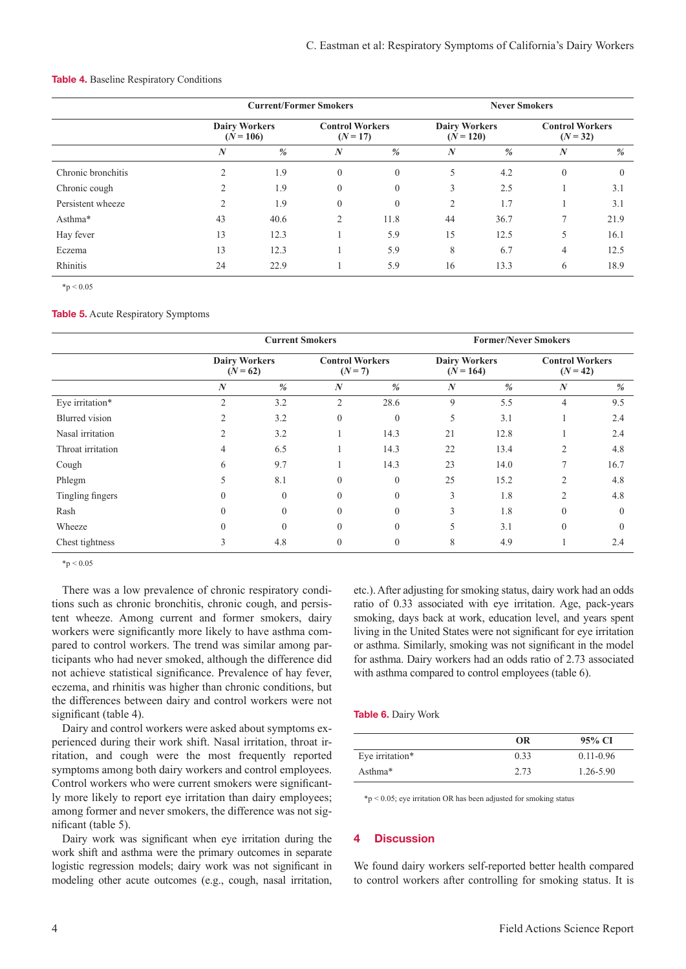|                    |                  | <b>Current/Former Smokers</b>       |                  |                                      | <b>Never Smokers</b> |                                     |                  |                                      |  |
|--------------------|------------------|-------------------------------------|------------------|--------------------------------------|----------------------|-------------------------------------|------------------|--------------------------------------|--|
|                    |                  | <b>Dairy Workers</b><br>$(N = 106)$ |                  | <b>Control Workers</b><br>$(N = 17)$ |                      | <b>Dairy Workers</b><br>$(N = 120)$ |                  | <b>Control Workers</b><br>$(N = 32)$ |  |
|                    | $\boldsymbol{N}$ | $\frac{0}{0}$                       | $\boldsymbol{N}$ | %                                    | N                    | $\frac{0}{0}$                       | $\boldsymbol{N}$ | $\%$                                 |  |
| Chronic bronchitis | 2                | 1.9                                 | $\Omega$         | $\theta$                             | 5                    | 4.2                                 | $\theta$         | $\theta$                             |  |
| Chronic cough      | $\mathcal{L}$    | 1.9                                 | $\theta$         | $\theta$                             | 3                    | 2.5                                 |                  | 3.1                                  |  |
| Persistent wheeze  | $\mathcal{D}$    | 1.9                                 | $\theta$         | $\mathbf{0}$                         | $\overline{c}$       | 1.7                                 |                  | 3.1                                  |  |
| Asthma*            | 43               | 40.6                                | $\mathfrak{D}$   | 11.8                                 | 44                   | 36.7                                | 7                | 21.9                                 |  |
| Hay fever          | 13               | 12.3                                |                  | 5.9                                  | 15                   | 12.5                                | 5                | 16.1                                 |  |
| Eczema             | 13               | 12.3                                |                  | 5.9                                  | 8                    | 6.7                                 | $\overline{4}$   | 12.5                                 |  |
| Rhinitis           | 24               | 22.9                                |                  | 5.9                                  | 16                   | 13.3                                | 6                | 18.9                                 |  |

#### Table 4. Baseline Respiratory Conditions

 $*_{p} < 0.05$ 

#### Table 5. Acute Respiratory Symptoms

|                       | <b>Current Smokers</b>             |          |                                     | <b>Former/Never Smokers</b> |                                     |      |                                      |               |
|-----------------------|------------------------------------|----------|-------------------------------------|-----------------------------|-------------------------------------|------|--------------------------------------|---------------|
|                       | <b>Dairy Workers</b><br>$(N = 62)$ |          | <b>Control Workers</b><br>$(N = 7)$ |                             | <b>Dairy Workers</b><br>$(N = 164)$ |      | <b>Control Workers</b><br>$(N = 42)$ |               |
|                       | N                                  | $\%$     | $\boldsymbol{N}$                    | $\frac{0}{0}$               | $\boldsymbol{N}$                    | $\%$ | $\boldsymbol{N}$                     | $\frac{0}{2}$ |
| Eye irritation*       | $\overline{c}$                     | 3.2      | $\overline{2}$                      | 28.6                        | 9                                   | 5.5  | $\overline{4}$                       | 9.5           |
| <b>Blurred</b> vision | $\overline{c}$                     | 3.2      | $\theta$                            | $\mathbf{0}$                | 5                                   | 3.1  |                                      | 2.4           |
| Nasal irritation      | $\overline{2}$                     | 3.2      |                                     | 14.3                        | 21                                  | 12.8 |                                      | 2.4           |
| Throat irritation     | 4                                  | 6.5      |                                     | 14.3                        | 22                                  | 13.4 | 2                                    | 4.8           |
| Cough                 | 6                                  | 9.7      |                                     | 14.3                        | 23                                  | 14.0 | 7                                    | 16.7          |
| Phlegm                | 5                                  | 8.1      | $\theta$                            | $\mathbf{0}$                | 25                                  | 15.2 | 2                                    | 4.8           |
| Tingling fingers      | 0                                  | $\Omega$ | $\Omega$                            | $\mathbf{0}$                | 3                                   | 1.8  | 2                                    | 4.8           |
| Rash                  | $\Omega$                           | $\theta$ | $\Omega$                            | $\theta$                    | 3                                   | 1.8  | $\theta$                             | $\Omega$      |
| Wheeze                | 0                                  | $\theta$ | $\theta$                            | $\overline{0}$              | 5                                   | 3.1  | $\theta$                             | $\Omega$      |
| Chest tightness       | 3                                  | 4.8      | $\theta$                            | $\mathbf{0}$                | 8                                   | 4.9  |                                      | 2.4           |

 $*_{p} < 0.05$ 

There was a low prevalence of chronic respiratory conditions such as chronic bronchitis, chronic cough, and persistent wheeze. Among current and former smokers, dairy workers were significantly more likely to have asthma compared to control workers. The trend was similar among participants who had never smoked, although the difference did not achieve statistical significance. Prevalence of hay fever, eczema, and rhinitis was higher than chronic conditions, but the differences between dairy and control workers were not significant (table 4).

Dairy and control workers were asked about symptoms experienced during their work shift. Nasal irritation, throat irritation, and cough were the most frequently reported symptoms among both dairy workers and control employees. Control workers who were current smokers were significantly more likely to report eye irritation than dairy employees; among former and never smokers, the difference was not significant (table 5).

Dairy work was significant when eye irritation during the work shift and asthma were the primary outcomes in separate logistic regression models; dairy work was not significant in modeling other acute outcomes (e.g., cough, nasal irritation, etc.). After adjusting for smoking status, dairy work had an odds ratio of 0.33 associated with eye irritation. Age, pack-years smoking, days back at work, education level, and years spent living in the United States were not significant for eye irritation or asthma. Similarly, smoking was not significant in the model for asthma. Dairy workers had an odds ratio of 2.73 associated with asthma compared to control employees (table 6).

#### Table 6. Dairy Work

|                 | OR   | 95% CI        |
|-----------------|------|---------------|
| Eye irritation* | 0.33 | $0.11 - 0.96$ |
| Asthma*         | 2.73 | $1.26 - 5.90$ |

\*p < 0.05; eye irritation OR has been adjusted for smoking status

### 4 Discussion

We found dairy workers self-reported better health compared to control workers after controlling for smoking status. It is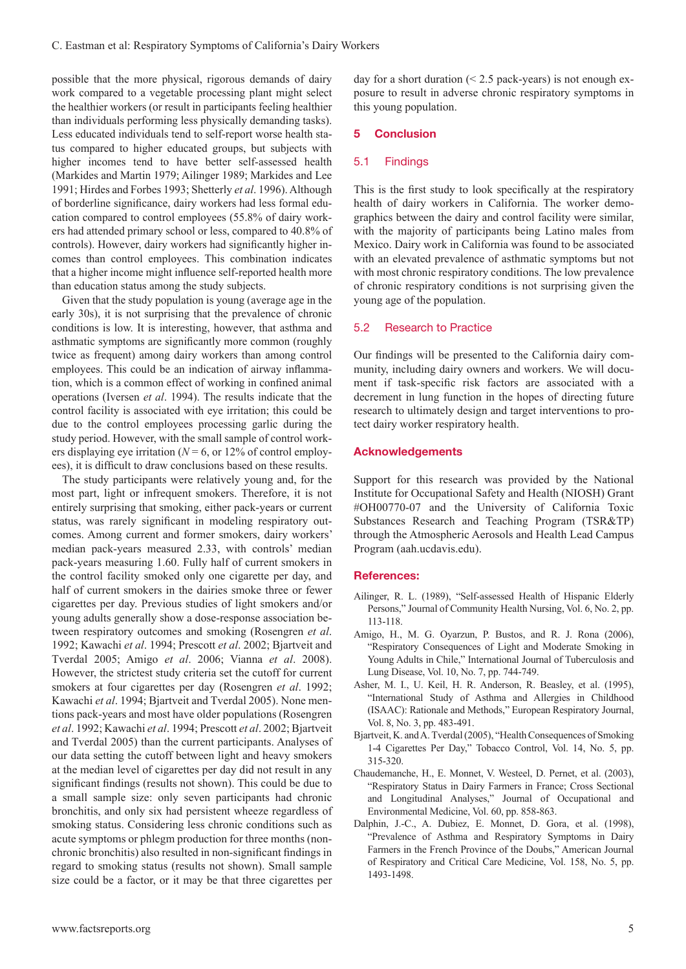possible that the more physical, rigorous demands of dairy work compared to a vegetable processing plant might select the healthier workers (or result in participants feeling healthier than individuals performing less physically demanding tasks). Less educated individuals tend to self-report worse health status compared to higher educated groups, but subjects with higher incomes tend to have better self-assessed health (Markides and Martin 1979; Ailinger 1989; Markides and Lee 1991; Hirdes and Forbes 1993; Shetterly *et al*. 1996). Although of borderline significance, dairy workers had less formal education compared to control employees (55.8% of dairy workers had attended primary school or less, compared to 40.8% of controls). However, dairy workers had significantly higher incomes than control employees. This combination indicates that a higher income might influence self-reported health more than education status among the study subjects.

Given that the study population is young (average age in the early 30s), it is not surprising that the prevalence of chronic conditions is low. It is interesting, however, that asthma and asthmatic symptoms are significantly more common (roughly twice as frequent) among dairy workers than among control employees. This could be an indication of airway inflammation, which is a common effect of working in confined animal operations (Iversen *et al*. 1994). The results indicate that the control facility is associated with eye irritation; this could be due to the control employees processing garlic during the study period. However, with the small sample of control workers displaying eye irritation ( $N = 6$ , or 12% of control employees), it is difficult to draw conclusions based on these results.

The study participants were relatively young and, for the most part, light or infrequent smokers. Therefore, it is not entirely surprising that smoking, either pack-years or current status, was rarely significant in modeling respiratory outcomes. Among current and former smokers, dairy workers' median pack-years measured 2.33, with controls' median pack-years measuring 1.60. Fully half of current smokers in the control facility smoked only one cigarette per day, and half of current smokers in the dairies smoke three or fewer cigarettes per day. Previous studies of light smokers and/or young adults generally show a dose-response association between respiratory outcomes and smoking (Rosengren *et al*. 1992; Kawachi *et al*. 1994; Prescott *et al*. 2002; Bjartveit and Tverdal 2005; Amigo *et al*. 2006; Vianna *et al*. 2008). However, the strictest study criteria set the cutoff for current smokers at four cigarettes per day (Rosengren *et al*. 1992; Kawachi *et al*. 1994; Bjartveit and Tverdal 2005). None mentions pack-years and most have older populations (Rosengren *et al*. 1992; Kawachi *et al*. 1994; Prescott *et al*. 2002; Bjartveit and Tverdal 2005) than the current participants. Analyses of our data setting the cutoff between light and heavy smokers at the median level of cigarettes per day did not result in any significant findings (results not shown). This could be due to a small sample size: only seven participants had chronic bronchitis, and only six had persistent wheeze regardless of smoking status. Considering less chronic conditions such as acute symptoms or phlegm production for three months (nonchronic bronchitis) also resulted in non-significant findings in regard to smoking status (results not shown). Small sample size could be a factor, or it may be that three cigarettes per

day for a short duration  $($  < 2.5 pack-years) is not enough exposure to result in adverse chronic respiratory symptoms in this young population.

#### 5 Conclusion

#### 5.1 Findings

This is the first study to look specifically at the respiratory health of dairy workers in California. The worker demographics between the dairy and control facility were similar, with the majority of participants being Latino males from Mexico. Dairy work in California was found to be associated with an elevated prevalence of asthmatic symptoms but not with most chronic respiratory conditions. The low prevalence of chronic respiratory conditions is not surprising given the young age of the population.

## 5.2 Research to Practice

Our findings will be presented to the California dairy community, including dairy owners and workers. We will document if task-specific risk factors are associated with a decrement in lung function in the hopes of directing future research to ultimately design and target interventions to protect dairy worker respiratory health.

### Acknowledgements

Support for this research was provided by the National Institute for Occupational Safety and Health (NIOSH) Grant #OH00770-07 and the University of California Toxic Substances Research and Teaching Program (TSR&TP) through the Atmospheric Aerosols and Health Lead Campus Program (aah.ucdavis.edu).

#### References:

- Ailinger, R. L. (1989), "Self-assessed Health of Hispanic Elderly Persons," Journal of Community Health Nursing, Vol. 6, No. 2, pp. 113-118.
- Amigo, H., M. G. Oyarzun, P. Bustos, and R. J. Rona (2006), "Respiratory Consequences of Light and Moderate Smoking in Young Adults in Chile," International Journal of Tuberculosis and Lung Disease, Vol. 10, No. 7, pp. 744-749.
- Asher, M. I., U. Keil, H. R. Anderson, R. Beasley, et al. (1995), "International Study of Asthma and Allergies in Childhood (ISAAC): Rationale and Methods," European Respiratory Journal, Vol. 8, No. 3, pp. 483-491.
- Bjartveit, K. and A. Tverdal (2005), "Health Consequences of Smoking 1-4 Cigarettes Per Day," Tobacco Control, Vol. 14, No. 5, pp. 315-320.
- Chaudemanche, H., E. Monnet, V. Westeel, D. Pernet, et al. (2003), "Respiratory Status in Dairy Farmers in France; Cross Sectional and Longitudinal Analyses," Journal of Occupational and Environmental Medicine, Vol. 60, pp. 858-863.
- Dalphin, J.-C., A. Dubiez, E. Monnet, D. Gora, et al. (1998), "Prevalence of Asthma and Respiratory Symptoms in Dairy Farmers in the French Province of the Doubs," American Journal of Respiratory and Critical Care Medicine, Vol. 158, No. 5, pp. 1493-1498.